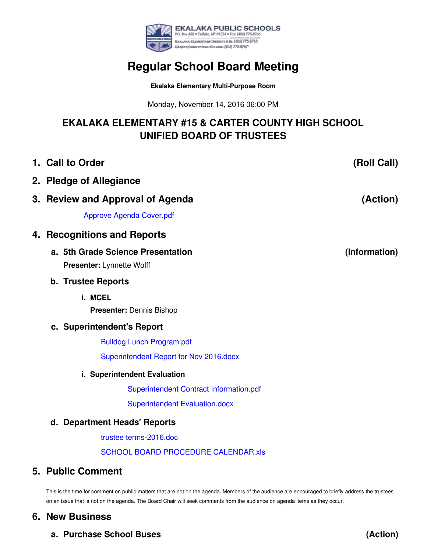

## **Regular School Board Meeting**

**Ekalaka Elementary Multi-Purpose Room**

Monday, November 14, 2016 06:00 PM

## **EKALAKA ELEMENTARY #15 & CARTER COUNTY HIGH SCHOOL UNIFIED BOARD OF TRUSTEES**

|  | 1. Call to Order                                               | (Roll Call)   |
|--|----------------------------------------------------------------|---------------|
|  | 2. Pledge of Allegiance                                        |               |
|  | 3. Review and Approval of Agenda                               | (Action)      |
|  | <b>Approve Agenda Cover.pdf</b>                                |               |
|  | 4. Recognitions and Reports                                    |               |
|  | a. 5th Grade Science Presentation<br>Presenter: Lynnette Wolff | (Information) |
|  | <b>b. Trustee Reports</b>                                      |               |
|  | i. MCEL                                                        |               |
|  | Presenter: Dennis Bishop                                       |               |
|  | c. Superintendent's Report                                     |               |
|  | <b>Bulldog Lunch Program.pdf</b>                               |               |
|  | Superintendent Report for Nov 2016.docx                        |               |
|  | i. Superintendent Evaluation                                   |               |
|  | Superintendent Contract Information.pdf                        |               |
|  | <b>Superintendent Evaluation.docx</b>                          |               |
|  | d. Department Heads' Reports                                   |               |
|  | trustee terms-2016.doc                                         |               |
|  | <b>SCHOOL BOARD PROCEDURE CALENDAR.xls</b>                     |               |

## **5. Public Comment**

This is the time for comment on public matters that are not on the agenda. Members of the audience are encouraged to briefly address the trustees on an issue that is not on the agenda. The Board Chair will seek comments from the audience on agenda items as they occur.

**(Action)**

## **6. New Business**

**a. Purchase School Buses**